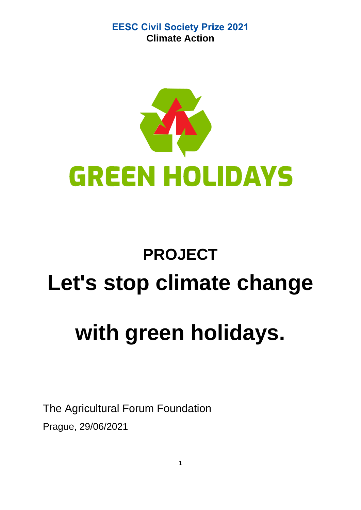

# **PROJECT Let's stop climate change with green holidays.**

The Agricultural Forum Foundation Prague, 29/06/2021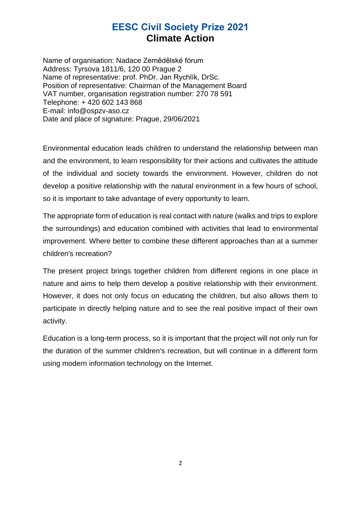Name of organisation: Nadace Zemědělské fórum Address: Tyrsova 1811/6, 120 00 Prague 2 Name of representative: prof. PhDr. Jan Rychlík, DrSc. Position of representative: Chairman of the Management Board VAT number, organisation registration number: 270 78 591 Telephone: + 420 602 143 868 E-mail: info@ospzv-aso.cz Date and place of signature: Prague, 29/06/2021

Environmental education leads children to understand the relationship between man and the environment, to learn responsibility for their actions and cultivates the attitude of the individual and society towards the environment. However, children do not develop a positive relationship with the natural environment in a few hours of school, so it is important to take advantage of every opportunity to learn.

The appropriate form of education is real contact with nature (walks and trips to explore the surroundings) and education combined with activities that lead to environmental improvement. Where better to combine these different approaches than at a summer children's recreation?

The present project brings together children from different regions in one place in nature and aims to help them develop a positive relationship with their environment. However, it does not only focus on educating the children, but also allows them to participate in directly helping nature and to see the real positive impact of their own activity.

Education is a long-term process, so it is important that the project will not only run for the duration of the summer children's recreation, but will continue in a different form using modern information technology on the Internet.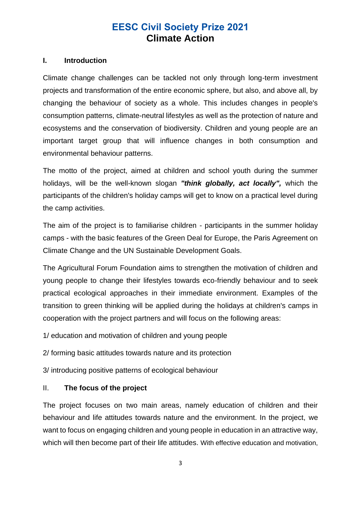#### **I. Introduction**

Climate change challenges can be tackled not only through long-term investment projects and transformation of the entire economic sphere, but also, and above all, by changing the behaviour of society as a whole. This includes changes in people's consumption patterns, climate-neutral lifestyles as well as the protection of nature and ecosystems and the conservation of biodiversity. Children and young people are an important target group that will influence changes in both consumption and environmental behaviour patterns.

The motto of the project, aimed at children and school youth during the summer holidays, will be the well-known slogan *"think globally, act locally",* which the participants of the children's holiday camps will get to know on a practical level during the camp activities.

The aim of the project is to familiarise children - participants in the summer holiday camps - with the basic features of the Green Deal for Europe, the Paris Agreement on Climate Change and the UN Sustainable Development Goals.

The Agricultural Forum Foundation aims to strengthen the motivation of children and young people to change their lifestyles towards eco-friendly behaviour and to seek practical ecological approaches in their immediate environment. Examples of the transition to green thinking will be applied during the holidays at children's camps in cooperation with the project partners and will focus on the following areas:

1/ education and motivation of children and young people

2/ forming basic attitudes towards nature and its protection

3/ introducing positive patterns of ecological behaviour

## II. **The focus of the project**

The project focuses on two main areas, namely education of children and their behaviour and life attitudes towards nature and the environment. In the project, we want to focus on engaging children and young people in education in an attractive way, which will then become part of their life attitudes. With effective education and motivation,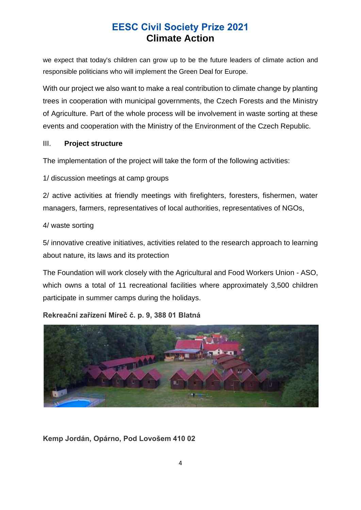we expect that today's children can grow up to be the future leaders of climate action and responsible politicians who will implement the Green Deal for Europe.

With our project we also want to make a real contribution to climate change by planting trees in cooperation with municipal governments, the Czech Forests and the Ministry of Agriculture. Part of the whole process will be involvement in waste sorting at these events and cooperation with the Ministry of the Environment of the Czech Republic.

## III. **Project structure**

The implementation of the project will take the form of the following activities:

1/ discussion meetings at camp groups

2/ active activities at friendly meetings with firefighters, foresters, fishermen, water managers, farmers, representatives of local authorities, representatives of NGOs,

4/ waste sorting

5/ innovative creative initiatives, activities related to the research approach to learning about nature, its laws and its protection

The Foundation will work closely with the Agricultural and Food Workers Union - ASO, which owns a total of 11 recreational facilities where approximately 3,500 children participate in summer camps during the holidays.

## **Rekreační zařízení Míreč č. p. 9, 388 01 Blatná**



## **Kemp Jordán, Opárno, Pod Lovošem 410 02**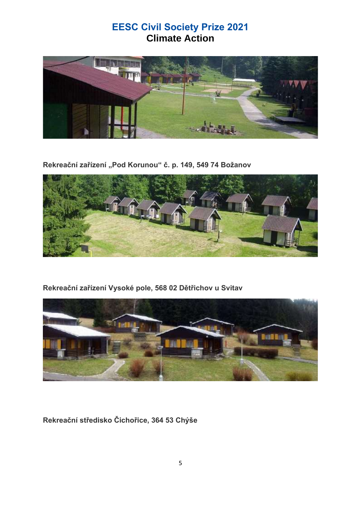

Rekreační zařízení "Pod Korunou" č. p. 149, 549 74 Božanov



**Rekreační zařízení Vysoké pole, 568 02 Dětřichov u Svitav** 



**Rekreační středisko Čichořice, 364 53 Chýše**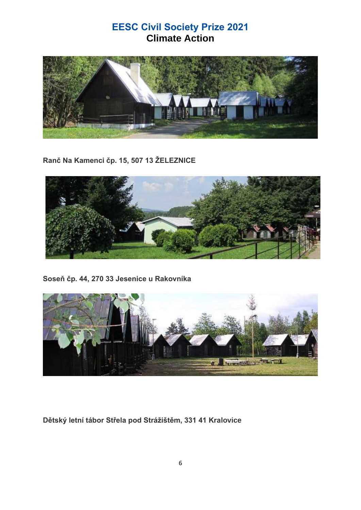

**Ranč Na Kamenci čp. 15, 507 13 ŽELEZNICE**



**Soseň čp. 44, 270 33 Jesenice u Rakovníka**



**Dětský letní tábor Střela pod Strážištěm, 331 41 Kralovice**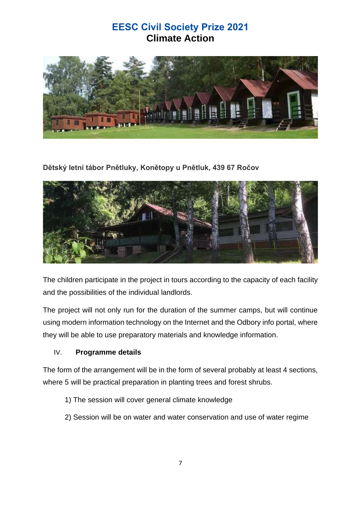

## **Dětský letní tábor Pnětluky, Konětopy u Pnětluk, 439 67 Ročov**



The children participate in the project in tours according to the capacity of each facility and the possibilities of the individual landlords.

The project will not only run for the duration of the summer camps, but will continue using modern information technology on the Internet and the Odbory info portal, where they will be able to use preparatory materials and knowledge information.

## IV. **Programme details**

The form of the arrangement will be in the form of several probably at least 4 sections, where 5 will be practical preparation in planting trees and forest shrubs.

- 1) The session will cover general climate knowledge
- 2) Session will be on water and water conservation and use of water regime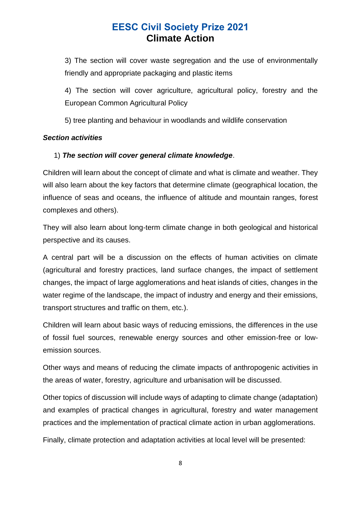3) The section will cover waste segregation and the use of environmentally friendly and appropriate packaging and plastic items

4) The section will cover agriculture, agricultural policy, forestry and the European Common Agricultural Policy

5) tree planting and behaviour in woodlands and wildlife conservation

#### *Section activities*

## 1) *The section will cover general climate knowledge*.

Children will learn about the concept of climate and what is climate and weather. They will also learn about the key factors that determine climate (geographical location, the influence of seas and oceans, the influence of altitude and mountain ranges, forest complexes and others).

They will also learn about long-term climate change in both geological and historical perspective and its causes.

A central part will be a discussion on the effects of human activities on climate (agricultural and forestry practices, land surface changes, the impact of settlement changes, the impact of large agglomerations and heat islands of cities, changes in the water regime of the landscape, the impact of industry and energy and their emissions, transport structures and traffic on them, etc.).

Children will learn about basic ways of reducing emissions, the differences in the use of fossil fuel sources, renewable energy sources and other emission-free or lowemission sources.

Other ways and means of reducing the climate impacts of anthropogenic activities in the areas of water, forestry, agriculture and urbanisation will be discussed.

Other topics of discussion will include ways of adapting to climate change (adaptation) and examples of practical changes in agricultural, forestry and water management practices and the implementation of practical climate action in urban agglomerations.

Finally, climate protection and adaptation activities at local level will be presented: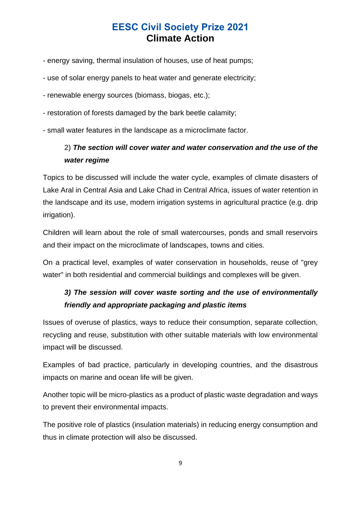- energy saving, thermal insulation of houses, use of heat pumps;
- use of solar energy panels to heat water and generate electricity;
- renewable energy sources (biomass, biogas, etc.);
- restoration of forests damaged by the bark beetle calamity;
- small water features in the landscape as a microclimate factor.

## 2) *The section will cover water and water conservation and the use of the water regime*

Topics to be discussed will include the water cycle, examples of climate disasters of Lake Aral in Central Asia and Lake Chad in Central Africa, issues of water retention in the landscape and its use, modern irrigation systems in agricultural practice (e.g. drip irrigation).

Children will learn about the role of small watercourses, ponds and small reservoirs and their impact on the microclimate of landscapes, towns and cities.

On a practical level, examples of water conservation in households, reuse of "grey water" in both residential and commercial buildings and complexes will be given.

## *3) The session will cover waste sorting and the use of environmentally friendly and appropriate packaging and plastic items*

Issues of overuse of plastics, ways to reduce their consumption, separate collection, recycling and reuse, substitution with other suitable materials with low environmental impact will be discussed.

Examples of bad practice, particularly in developing countries, and the disastrous impacts on marine and ocean life will be given.

Another topic will be micro-plastics as a product of plastic waste degradation and ways to prevent their environmental impacts.

The positive role of plastics (insulation materials) in reducing energy consumption and thus in climate protection will also be discussed.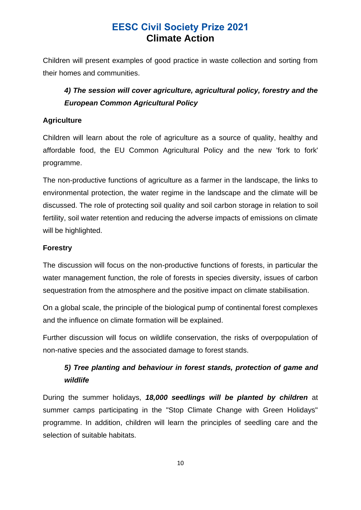Children will present examples of good practice in waste collection and sorting from their homes and communities.

## *4) The session will cover agriculture, agricultural policy, forestry and the European Common Agricultural Policy*

## **Agriculture**

Children will learn about the role of agriculture as a source of quality, healthy and affordable food, the EU Common Agricultural Policy and the new 'fork to fork' programme.

The non-productive functions of agriculture as a farmer in the landscape, the links to environmental protection, the water regime in the landscape and the climate will be discussed. The role of protecting soil quality and soil carbon storage in relation to soil fertility, soil water retention and reducing the adverse impacts of emissions on climate will be highlighted.

## **Forestry**

The discussion will focus on the non-productive functions of forests, in particular the water management function, the role of forests in species diversity, issues of carbon sequestration from the atmosphere and the positive impact on climate stabilisation.

On a global scale, the principle of the biological pump of continental forest complexes and the influence on climate formation will be explained.

Further discussion will focus on wildlife conservation, the risks of overpopulation of non-native species and the associated damage to forest stands.

## *5) Tree planting and behaviour in forest stands, protection of game and wildlife*

During the summer holidays, *18,000 seedlings will be planted by children* at summer camps participating in the "Stop Climate Change with Green Holidays" programme. In addition, children will learn the principles of seedling care and the selection of suitable habitats.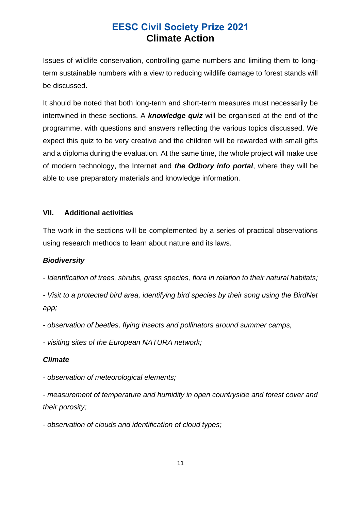Issues of wildlife conservation, controlling game numbers and limiting them to longterm sustainable numbers with a view to reducing wildlife damage to forest stands will be discussed.

It should be noted that both long-term and short-term measures must necessarily be intertwined in these sections. A *knowledge quiz* will be organised at the end of the programme, with questions and answers reflecting the various topics discussed. We expect this quiz to be very creative and the children will be rewarded with small gifts and a diploma during the evaluation. At the same time, the whole project will make use of modern technology, the Internet and *the Odbory info portal*, where they will be able to use preparatory materials and knowledge information.

## **VII. Additional activities**

The work in the sections will be complemented by a series of practical observations using research methods to learn about nature and its laws.

#### *Biodiversity*

*- Identification of trees, shrubs, grass species, flora in relation to their natural habitats;*

*- Visit to a protected bird area, identifying bird species by their song using the BirdNet app;*

*- observation of beetles, flying insects and pollinators around summer camps,*

*- visiting sites of the European NATURA network;*

## *Climate*

*- observation of meteorological elements;*

*- measurement of temperature and humidity in open countryside and forest cover and their porosity;*

*- observation of clouds and identification of cloud types;*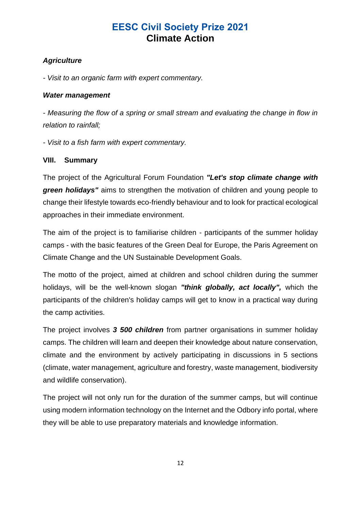## *Agriculture*

*- Visit to an organic farm with expert commentary.*

## *Water management*

*- Measuring the flow of a spring or small stream and evaluating the change in flow in relation to rainfall;*

*- Visit to a fish farm with expert commentary.*

## **VIII. Summary**

The project of the Agricultural Forum Foundation *"Let's stop climate change with green holidays"* aims to strengthen the motivation of children and young people to change their lifestyle towards eco-friendly behaviour and to look for practical ecological approaches in their immediate environment.

The aim of the project is to familiarise children - participants of the summer holiday camps - with the basic features of the Green Deal for Europe, the Paris Agreement on Climate Change and the UN Sustainable Development Goals.

The motto of the project, aimed at children and school children during the summer holidays, will be the well-known slogan *"think globally, act locally",* which the participants of the children's holiday camps will get to know in a practical way during the camp activities.

The project involves *3 500 children* from partner organisations in summer holiday camps. The children will learn and deepen their knowledge about nature conservation, climate and the environment by actively participating in discussions in 5 sections (climate, water management, agriculture and forestry, waste management, biodiversity and wildlife conservation).

The project will not only run for the duration of the summer camps, but will continue using modern information technology on the Internet and the Odbory info portal, where they will be able to use preparatory materials and knowledge information.